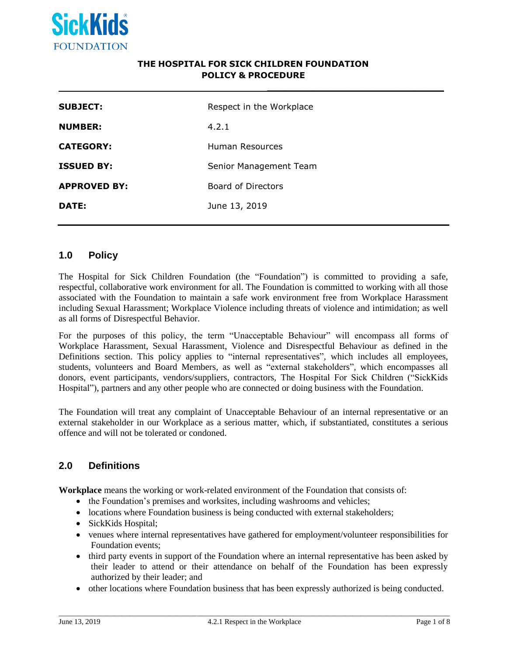

## **THE HOSPITAL FOR SICK CHILDREN FOUNDATION POLICY & PROCEDURE**

**\_\_\_\_\_\_\_\_\_\_\_\_\_\_\_\_\_\_\_\_\_\_\_\_\_\_\_\_\_\_**

| <b>SUBJECT:</b>     | Respect in the Workplace |
|---------------------|--------------------------|
| <b>NUMBER:</b>      | 4.2.1                    |
| <b>CATEGORY:</b>    | Human Resources          |
| <b>ISSUED BY:</b>   | Senior Management Team   |
| <b>APPROVED BY:</b> | Board of Directors       |
| DATE:               | June 13, 2019            |

## **1.0 Policy**

The Hospital for Sick Children Foundation (the "Foundation") is committed to providing a safe, respectful, collaborative work environment for all. The Foundation is committed to working with all those associated with the Foundation to maintain a safe work environment free from Workplace Harassment including Sexual Harassment; Workplace Violence including threats of violence and intimidation; as well as all forms of Disrespectful Behavior.

For the purposes of this policy, the term "Unacceptable Behaviour" will encompass all forms of Workplace Harassment, Sexual Harassment, Violence and Disrespectful Behaviour as defined in the Definitions section. This policy applies to "internal representatives", which includes all employees, students, volunteers and Board Members, as well as "external stakeholders", which encompasses all donors, event participants, vendors/suppliers, contractors, The Hospital For Sick Children ("SickKids Hospital"), partners and any other people who are connected or doing business with the Foundation.

The Foundation will treat any complaint of Unacceptable Behaviour of an internal representative or an external stakeholder in our Workplace as a serious matter, which, if substantiated, constitutes a serious offence and will not be tolerated or condoned.

# **2.0 Definitions**

**Workplace** means the working or work-related environment of the Foundation that consists of:

- the Foundation's premises and worksites, including washrooms and vehicles;
- locations where Foundation business is being conducted with external stakeholders;
- SickKids Hospital;
- venues where internal representatives have gathered for employment/volunteer responsibilities for Foundation events;
- third party events in support of the Foundation where an internal representative has been asked by their leader to attend or their attendance on behalf of the Foundation has been expressly authorized by their leader; and
- other locations where Foundation business that has been expressly authorized is being conducted.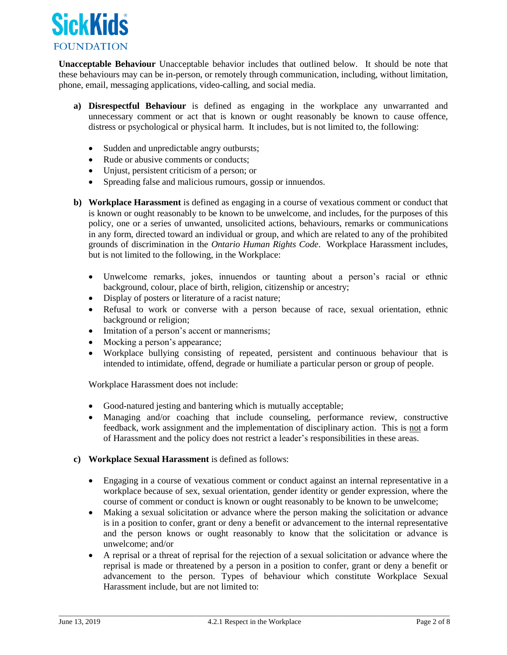

**Unacceptable Behaviour** Unacceptable behavior includes that outlined below. It should be note that these behaviours may can be in-person, or remotely through communication, including, without limitation, phone, email, messaging applications, video-calling, and social media.

- **a) Disrespectful Behaviour** is defined as engaging in the workplace any unwarranted and unnecessary comment or act that is known or ought reasonably be known to cause offence, distress or psychological or physical harm. It includes, but is not limited to, the following:
	- Sudden and unpredictable angry outbursts;
	- Rude or abusive comments or conducts:
	- Unjust, persistent criticism of a person; or
	- Spreading false and malicious rumours, gossip or innuendos.
- **b) Workplace Harassment** is defined as engaging in a course of vexatious comment or conduct that is known or ought reasonably to be known to be unwelcome, and includes, for the purposes of this policy, one or a series of unwanted, unsolicited actions, behaviours, remarks or communications in any form, directed toward an individual or group, and which are related to any of the prohibited grounds of discrimination in the *Ontario Human Rights Code*. Workplace Harassment includes, but is not limited to the following, in the Workplace:
	- Unwelcome remarks, jokes, innuendos or taunting about a person's racial or ethnic background, colour, place of birth, religion, citizenship or ancestry;
	- Display of posters or literature of a racist nature;
	- Refusal to work or converse with a person because of race, sexual orientation, ethnic background or religion;
	- Imitation of a person's accent or mannerisms;
	- Mocking a person's appearance;
	- Workplace bullying consisting of repeated, persistent and continuous behaviour that is intended to intimidate, offend, degrade or humiliate a particular person or group of people.

Workplace Harassment does not include:

- Good-natured jesting and bantering which is mutually acceptable;
- Managing and/or coaching that include counseling, performance review, constructive feedback, work assignment and the implementation of disciplinary action. This is not a form of Harassment and the policy does not restrict a leader's responsibilities in these areas.
- **c) Workplace Sexual Harassment** is defined as follows:
	- Engaging in a course of vexatious comment or conduct against an internal representative in a workplace because of sex, sexual orientation, gender identity or gender expression, where the course of comment or conduct is known or ought reasonably to be known to be unwelcome;
	- Making a sexual solicitation or advance where the person making the solicitation or advance is in a position to confer, grant or deny a benefit or advancement to the internal representative and the person knows or ought reasonably to know that the solicitation or advance is unwelcome; and/or
	- A reprisal or a threat of reprisal for the rejection of a sexual solicitation or advance where the reprisal is made or threatened by a person in a position to confer, grant or deny a benefit or advancement to the person. Types of behaviour which constitute Workplace Sexual Harassment include, but are not limited to: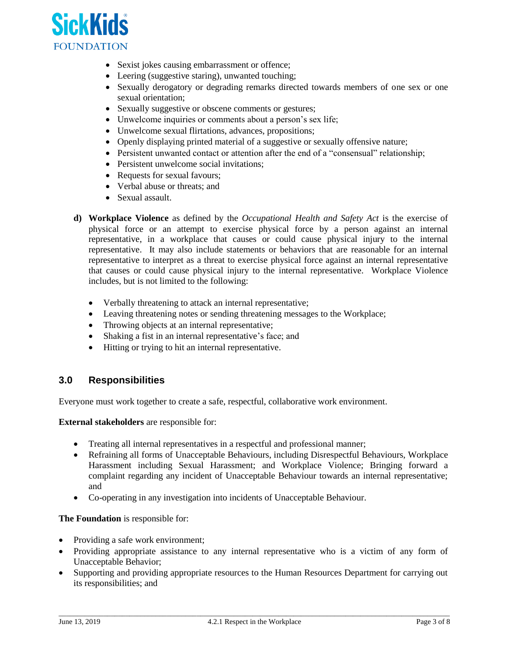

- Sexist jokes causing embarrassment or offence;
- Leering (suggestive staring), unwanted touching;
- Sexually derogatory or degrading remarks directed towards members of one sex or one sexual orientation;
- Sexually suggestive or obscene comments or gestures;
- Unwelcome inquiries or comments about a person's sex life;
- Unwelcome sexual flirtations, advances, propositions;
- Openly displaying printed material of a suggestive or sexually offensive nature;
- Persistent unwanted contact or attention after the end of a "consensual" relationship;
- Persistent unwelcome social invitations;
- Requests for sexual favours;
- Verbal abuse or threats: and
- Sexual assault.
- **d) Workplace Violence** as defined by the *Occupational Health and Safety Act* is the exercise of physical force or an attempt to exercise physical force by a person against an internal representative, in a workplace that causes or could cause physical injury to the internal representative. It may also include statements or behaviors that are reasonable for an internal representative to interpret as a threat to exercise physical force against an internal representative that causes or could cause physical injury to the internal representative. Workplace Violence includes, but is not limited to the following:
	- Verbally threatening to attack an internal representative;
	- Leaving threatening notes or sending threatening messages to the Workplace;
	- Throwing objects at an internal representative;
	- Shaking a fist in an internal representative's face; and
	- Hitting or trying to hit an internal representative.

## **3.0 Responsibilities**

Everyone must work together to create a safe, respectful, collaborative work environment.

**External stakeholders** are responsible for:

- Treating all internal representatives in a respectful and professional manner;
- Refraining all forms of Unacceptable Behaviours, including Disrespectful Behaviours, Workplace Harassment including Sexual Harassment; and Workplace Violence; Bringing forward a complaint regarding any incident of Unacceptable Behaviour towards an internal representative; and
- Co-operating in any investigation into incidents of Unacceptable Behaviour.

**The Foundation** is responsible for:

- Providing a safe work environment;
- Providing appropriate assistance to any internal representative who is a victim of any form of Unacceptable Behavior;
- Supporting and providing appropriate resources to the Human Resources Department for carrying out its responsibilities; and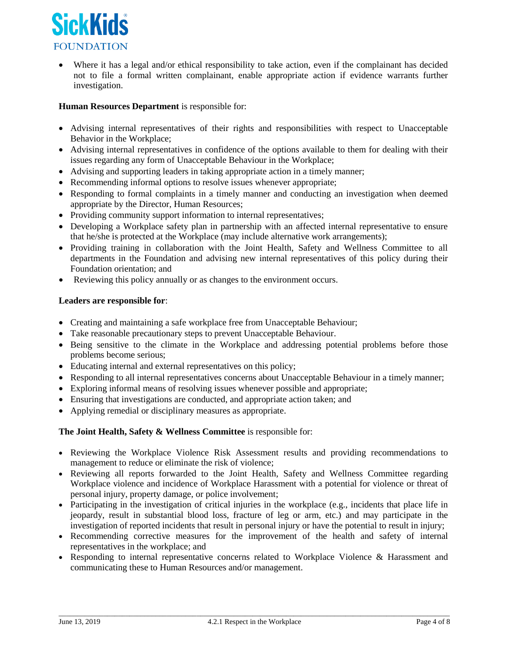

Where it has a legal and/or ethical responsibility to take action, even if the complainant has decided not to file a formal written complainant, enable appropriate action if evidence warrants further investigation.

## **Human Resources Department** is responsible for:

- Advising internal representatives of their rights and responsibilities with respect to Unacceptable Behavior in the Workplace;
- Advising internal representatives in confidence of the options available to them for dealing with their issues regarding any form of Unacceptable Behaviour in the Workplace;
- Advising and supporting leaders in taking appropriate action in a timely manner;
- Recommending informal options to resolve issues whenever appropriate;
- Responding to formal complaints in a timely manner and conducting an investigation when deemed appropriate by the Director, Human Resources;
- Providing community support information to internal representatives;
- Developing a Workplace safety plan in partnership with an affected internal representative to ensure that he/she is protected at the Workplace (may include alternative work arrangements);
- Providing training in collaboration with the Joint Health, Safety and Wellness Committee to all departments in the Foundation and advising new internal representatives of this policy during their Foundation orientation; and
- Reviewing this policy annually or as changes to the environment occurs.

## **Leaders are responsible for**:

- Creating and maintaining a safe workplace free from Unacceptable Behaviour;
- Take reasonable precautionary steps to prevent Unacceptable Behaviour.
- Being sensitive to the climate in the Workplace and addressing potential problems before those problems become serious;
- Educating internal and external representatives on this policy;
- Responding to all internal representatives concerns about Unacceptable Behaviour in a timely manner;
- Exploring informal means of resolving issues whenever possible and appropriate;
- Ensuring that investigations are conducted, and appropriate action taken; and
- Applying remedial or disciplinary measures as appropriate.

## **The Joint Health, Safety & Wellness Committee** is responsible for:

- Reviewing the Workplace Violence Risk Assessment results and providing recommendations to management to reduce or eliminate the risk of violence;
- Reviewing all reports forwarded to the Joint Health, Safety and Wellness Committee regarding Workplace violence and incidence of Workplace Harassment with a potential for violence or threat of personal injury, property damage, or police involvement;
- Participating in the investigation of critical injuries in the workplace (e.g., incidents that place life in jeopardy, result in substantial blood loss, fracture of leg or arm, etc.) and may participate in the investigation of reported incidents that result in personal injury or have the potential to result in injury;
- Recommending corrective measures for the improvement of the health and safety of internal representatives in the workplace; and
- Responding to internal representative concerns related to Workplace Violence & Harassment and communicating these to Human Resources and/or management.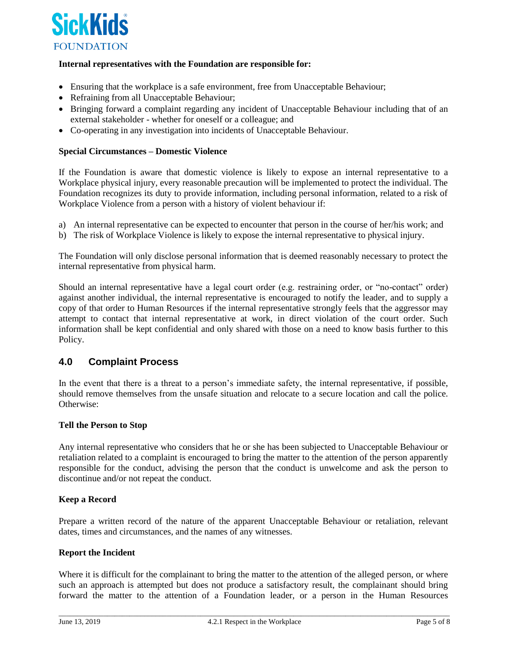

## **Internal representatives with the Foundation are responsible for:**

- Ensuring that the workplace is a safe environment, free from Unacceptable Behaviour;
- Refraining from all Unacceptable Behaviour;
- Bringing forward a complaint regarding any incident of Unacceptable Behaviour including that of an external stakeholder - whether for oneself or a colleague; and
- Co-operating in any investigation into incidents of Unacceptable Behaviour.

### **Special Circumstances – Domestic Violence**

If the Foundation is aware that domestic violence is likely to expose an internal representative to a Workplace physical injury, every reasonable precaution will be implemented to protect the individual. The Foundation recognizes its duty to provide information, including personal information, related to a risk of Workplace Violence from a person with a history of violent behaviour if:

- a) An internal representative can be expected to encounter that person in the course of her/his work; and
- b) The risk of Workplace Violence is likely to expose the internal representative to physical injury.

The Foundation will only disclose personal information that is deemed reasonably necessary to protect the internal representative from physical harm.

Should an internal representative have a legal court order (e.g. restraining order, or "no-contact" order) against another individual, the internal representative is encouraged to notify the leader, and to supply a copy of that order to Human Resources if the internal representative strongly feels that the aggressor may attempt to contact that internal representative at work, in direct violation of the court order. Such information shall be kept confidential and only shared with those on a need to know basis further to this Policy.

## **4.0 Complaint Process**

In the event that there is a threat to a person's immediate safety, the internal representative, if possible, should remove themselves from the unsafe situation and relocate to a secure location and call the police. Otherwise:

#### **Tell the Person to Stop**

Any internal representative who considers that he or she has been subjected to Unacceptable Behaviour or retaliation related to a complaint is encouraged to bring the matter to the attention of the person apparently responsible for the conduct, advising the person that the conduct is unwelcome and ask the person to discontinue and/or not repeat the conduct.

#### **Keep a Record**

Prepare a written record of the nature of the apparent Unacceptable Behaviour or retaliation, relevant dates, times and circumstances, and the names of any witnesses.

#### **Report the Incident**

Where it is difficult for the complainant to bring the matter to the attention of the alleged person, or where such an approach is attempted but does not produce a satisfactory result, the complainant should bring forward the matter to the attention of a Foundation leader, or a person in the Human Resources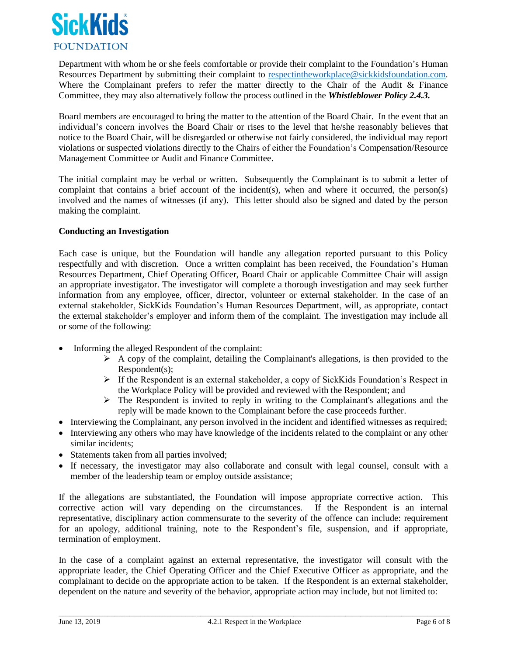

Department with whom he or she feels comfortable or provide their complaint to the Foundation's Human Resources Department by submitting their complaint to [respectintheworkplace@sickkidsfoundation.com.](mailto:respectintheworkplace@sickkidsfoundation.com) Where the Complainant prefers to refer the matter directly to the Chair of the Audit & Finance Committee, they may also alternatively follow the process outlined in the *Whistleblower Policy 2.4.3.*

Board members are encouraged to bring the matter to the attention of the Board Chair. In the event that an individual's concern involves the Board Chair or rises to the level that he/she reasonably believes that notice to the Board Chair, will be disregarded or otherwise not fairly considered, the individual may report violations or suspected violations directly to the Chairs of either the Foundation's Compensation/Resource Management Committee or Audit and Finance Committee.

The initial complaint may be verbal or written. Subsequently the Complainant is to submit a letter of complaint that contains a brief account of the incident(s), when and where it occurred, the person(s) involved and the names of witnesses (if any). This letter should also be signed and dated by the person making the complaint.

## **Conducting an Investigation**

Each case is unique, but the Foundation will handle any allegation reported pursuant to this Policy respectfully and with discretion. Once a written complaint has been received, the Foundation's Human Resources Department, Chief Operating Officer, Board Chair or applicable Committee Chair will assign an appropriate investigator. The investigator will complete a thorough investigation and may seek further information from any employee, officer, director, volunteer or external stakeholder. In the case of an external stakeholder, SickKids Foundation's Human Resources Department, will, as appropriate, contact the external stakeholder's employer and inform them of the complaint. The investigation may include all or some of the following:

- Informing the alleged Respondent of the complaint:
	- $\triangleright$  A copy of the complaint, detailing the Complainant's allegations, is then provided to the Respondent(s);
	- ➢ If the Respondent is an external stakeholder, a copy of SickKids Foundation's Respect in the Workplace Policy will be provided and reviewed with the Respondent; and
	- ➢ The Respondent is invited to reply in writing to the Complainant's allegations and the reply will be made known to the Complainant before the case proceeds further.
- Interviewing the Complainant, any person involved in the incident and identified witnesses as required;
- Interviewing any others who may have knowledge of the incidents related to the complaint or any other similar incidents;
- Statements taken from all parties involved;
- If necessary, the investigator may also collaborate and consult with legal counsel, consult with a member of the leadership team or employ outside assistance;

If the allegations are substantiated, the Foundation will impose appropriate corrective action. This corrective action will vary depending on the circumstances. If the Respondent is an internal representative, disciplinary action commensurate to the severity of the offence can include: requirement for an apology, additional training, note to the Respondent's file, suspension, and if appropriate, termination of employment.

In the case of a complaint against an external representative, the investigator will consult with the appropriate leader, the Chief Operating Officer and the Chief Executive Officer as appropriate, and the complainant to decide on the appropriate action to be taken. If the Respondent is an external stakeholder, dependent on the nature and severity of the behavior, appropriate action may include, but not limited to: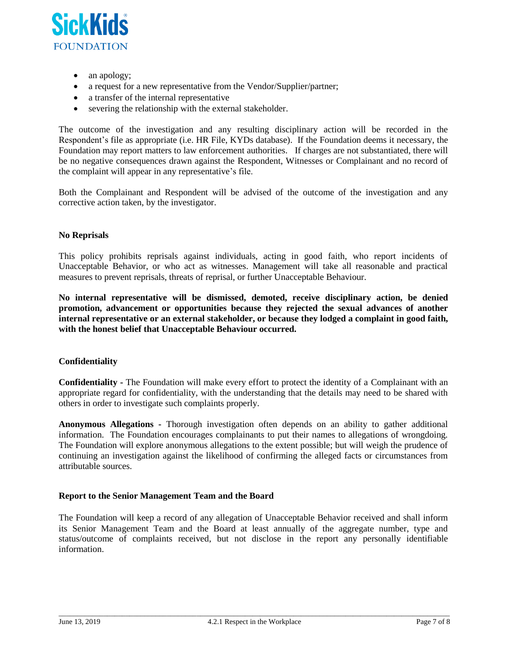

- an apology;
- a request for a new representative from the Vendor/Supplier/partner;
- a transfer of the internal representative
- severing the relationship with the external stakeholder.

The outcome of the investigation and any resulting disciplinary action will be recorded in the Respondent's file as appropriate (i.e. HR File, KYDs database). If the Foundation deems it necessary, the Foundation may report matters to law enforcement authorities. If charges are not substantiated, there will be no negative consequences drawn against the Respondent, Witnesses or Complainant and no record of the complaint will appear in any representative's file.

Both the Complainant and Respondent will be advised of the outcome of the investigation and any corrective action taken, by the investigator.

#### **No Reprisals**

This policy prohibits reprisals against individuals, acting in good faith, who report incidents of Unacceptable Behavior, or who act as witnesses. Management will take all reasonable and practical measures to prevent reprisals, threats of reprisal, or further Unacceptable Behaviour.

**No internal representative will be dismissed, demoted, receive disciplinary action, be denied promotion, advancement or opportunities because they rejected the sexual advances of another internal representative or an external stakeholder, or because they lodged a complaint in good faith, with the honest belief that Unacceptable Behaviour occurred.**

## **Confidentiality**

**Confidentiality -** The Foundation will make every effort to protect the identity of a Complainant with an appropriate regard for confidentiality, with the understanding that the details may need to be shared with others in order to investigate such complaints properly.

**Anonymous Allegations -** Thorough investigation often depends on an ability to gather additional information. The Foundation encourages complainants to put their names to allegations of wrongdoing. The Foundation will explore anonymous allegations to the extent possible; but will weigh the prudence of continuing an investigation against the likelihood of confirming the alleged facts or circumstances from attributable sources.

## **Report to the Senior Management Team and the Board**

The Foundation will keep a record of any allegation of Unacceptable Behavior received and shall inform its Senior Management Team and the Board at least annually of the aggregate number, type and status/outcome of complaints received, but not disclose in the report any personally identifiable information.